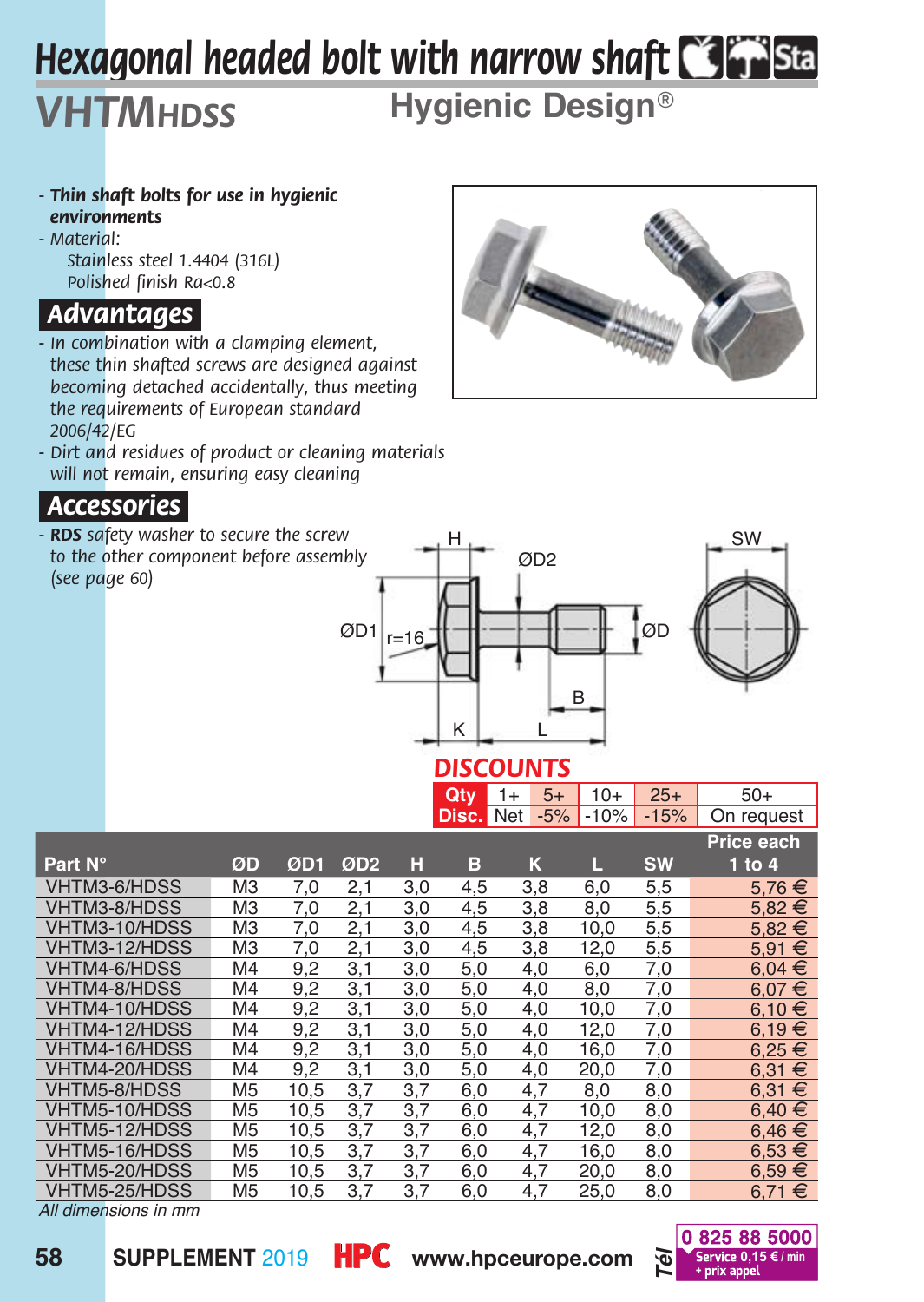# *Hexagonal headed bolt with narrow shaft*

## **Hygienic Design***®*

- *Thin shaft bolts for use in hygienic environments*
- *Material: Stainless steel 1.4404 (316L) Polished finish Ra<0.8*

*VHTMhdss*

#### *Advantages.*

- *In combination with a clamping element, these thin shafted screws are designed against becoming detached accidentally, thus meeting the requirements of European standard 2006/42/EG*
- *Dirt and residues of product or cleaning materials will not remain, ensuring easy cleaning*

#### *Accessories.*

*- RDS safety washer to secure the screw to the other component before assembly (see page 60)*





### *DISCOUNTS*

|               |                |      |                 |     | Qty   | $1+$ | $5+$  | $10+$  | $25+$     | $50+$             |
|---------------|----------------|------|-----------------|-----|-------|------|-------|--------|-----------|-------------------|
|               |                |      |                 |     | Disc. | Net  | $-5%$ | $-10%$ | $-15%$    | On request        |
|               |                |      |                 |     |       |      |       |        |           | <b>Price each</b> |
| Part N°       | ØD             | ØD1  | ØD <sub>2</sub> | н   | в     |      | K     | г.     | <b>SW</b> | 1 to $4$          |
| VHTM3-6/HDSS  | M <sub>3</sub> | 7,0  | 2,1             | 3,0 | 4,5   |      | 3,8   | 6,0    | 5,5       | $5.76 \in$        |
| VHTM3-8/HDSS  | M <sub>3</sub> | 7,0  | 2,1             | 3,0 | 4,5   |      | 3,8   | 8,0    | 5,5       | $5.82 \in$        |
| VHTM3-10/HDSS | M <sub>3</sub> | 7,0  | 2,1             | 3,0 | 4,5   |      | 3,8   | 10,0   | 5,5       | 5.82€             |
| VHTM3-12/HDSS | M <sub>3</sub> | 7,0  | 2,1             | 3,0 | 4,5   |      | 3,8   | 12,0   | 5,5       | 5.91 €            |
| VHTM4-6/HDSS  | M <sub>4</sub> | 9,2  | 3,1             | 3,0 | 5,0   |      | 4,0   | 6,0    | 7,0       | $6.04 \in$        |
| VHTM4-8/HDSS  | M <sub>4</sub> | 9,2  | 3,1             | 3,0 | 5,0   |      | 4,0   | 8,0    | 7,0       | $6.07 \in$        |
| VHTM4-10/HDSS | M <sub>4</sub> | 9,2  | 3,1             | 3,0 | 5,0   |      | 4,0   | 10,0   | 7,0       | 6,10 €            |
| VHTM4-12/HDSS | M <sub>4</sub> | 9,2  | 3,1             | 3,0 | 5,0   |      | 4,0   | 12,0   | 7,0       | $6.19 \in$        |
| VHTM4-16/HDSS | M <sub>4</sub> | 9,2  | 3,1             | 3,0 | 5,0   |      | 4,0   | 16,0   | 7,0       | $6.25 \in$        |
| VHTM4-20/HDSS | M <sub>4</sub> | 9,2  | 3,1             | 3,0 | 5,0   |      | 4,0   | 20,0   | 7,0       | $6.31 \in$        |
| VHTM5-8/HDSS  | M <sub>5</sub> | 10,5 | 3.7             | 3,7 | 6,0   |      | 4,7   | 8,0    | 8,0       | $6.31 \in$        |
| VHTM5-10/HDSS | M <sub>5</sub> | 10.5 | 3.7             | 3.7 | 6,0   |      | 4,7   | 10,0   | 8,0       | $6,40 \in$        |
| VHTM5-12/HDSS | M <sub>5</sub> | 10,5 | 3,7             | 3,7 | 6,0   |      | 4,7   | 12,0   | 8,0       | $6,46 \in$        |
| VHTM5-16/HDSS | M <sub>5</sub> | 10,5 | 3,7             | 3,7 | 6,0   |      | 4,7   | 16,0   | 8,0       | $6,53 \in$        |
| VHTM5-20/HDSS | M <sub>5</sub> | 10,5 | 3,7             | 3,7 | 6,0   |      | 4,7   | 20,0   | 8,0       | $6,59 \in$        |
| VHTM5-25/HDSS | M <sub>5</sub> | 10,5 | 3,7             | 3,7 | 6,0   |      | 4,7   | 25,0   | 8,0       | 6,71 €            |

*All dimensions in mm*



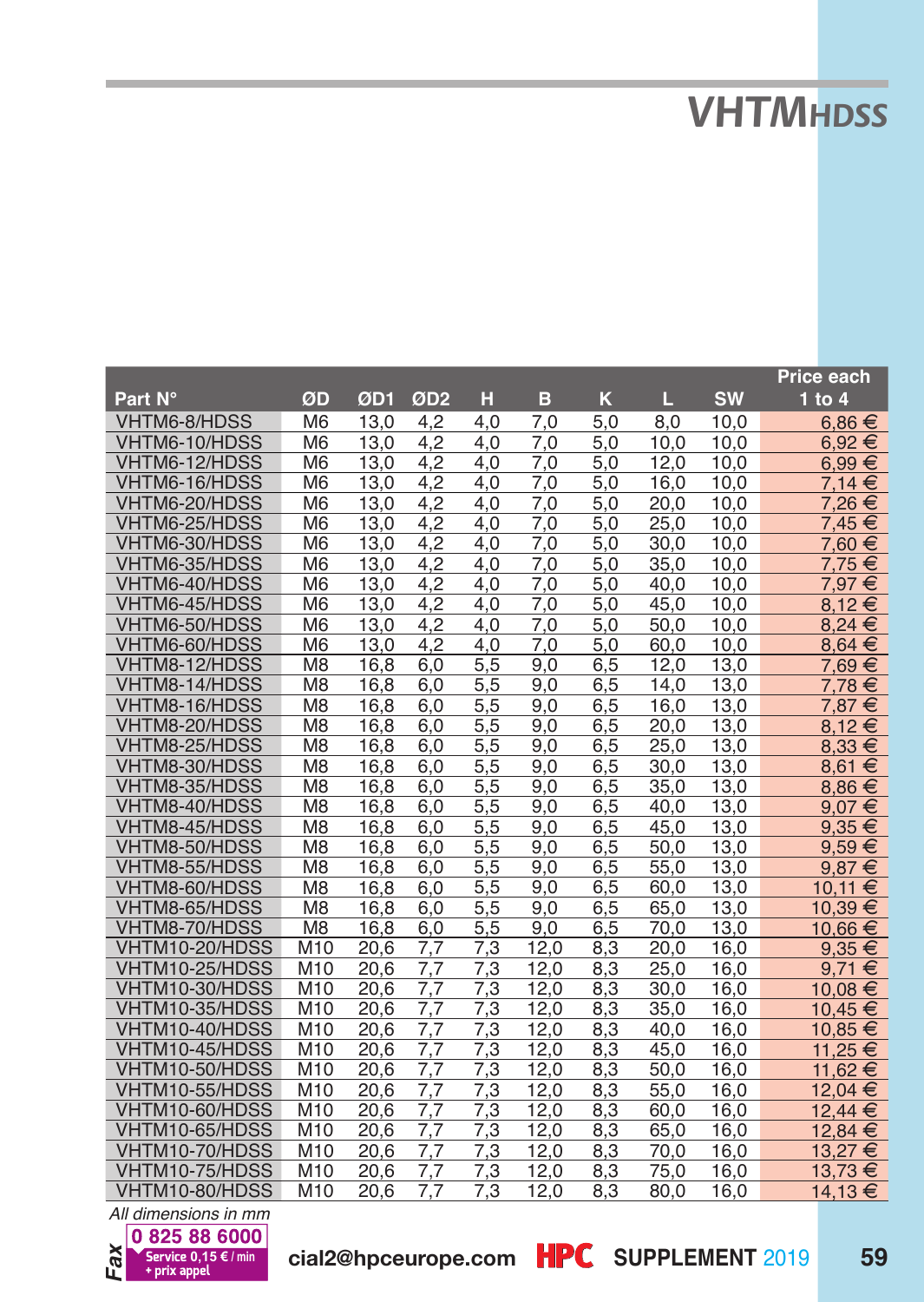# *VHTMhdss*

|                                  |                        |              |                 |            |              |            |              |              | <b>Price each</b> |
|----------------------------------|------------------------|--------------|-----------------|------------|--------------|------------|--------------|--------------|-------------------|
| Part N°                          | ØD                     | ØD1          | ØD <sub>2</sub> | н          | в            | ĸ          | П.           | <b>SW</b>    | $1$ to $4$        |
| VHTM6-8/HDSS                     | M <sub>6</sub>         | 13,0         | 4,2             | 4.0        | 7,0          | 5,0        | 8,0          | 10,0         | $6.86 \in$        |
| VHTM6-10/HDSS                    | M <sub>6</sub>         | 13.0         | 4.2             | 4.0        | 7.0          | 5.0        | 10.0         | 10.0         | $6,92 \in$        |
| VHTM6-12/HDSS                    | M <sub>6</sub>         | 13,0         | 4,2             | 4.0        | 7,0          | 5,0        | 12,0         | 10,0         | 6.99€             |
| VHTM6-16/HDSS                    | M <sub>6</sub>         | 13,0         | 4,2             | 4.0        | 7.0          | 5,0        | 16,0         | 10,0         | 7.14 €            |
| VHTM6-20/HDSS                    | M <sub>6</sub>         | 13.0         | 4.2             | 4.0        | 7.0          | 5.0        | 20.0         | 10.0         | 7,26€             |
| VHTM6-25/HDSS                    | M <sub>6</sub>         | 13,0         | 4,2             | 4,0        | 7,0          | 5,0        | 25,0         | 10,0         | 7,45 €            |
| VHTM6-30/HDSS                    | M <sub>6</sub>         | 13,0         | 4,2             | 4.0        | 7.0          | 5,0        | 30,0         | 10.0         | 7,60 €            |
| VHTM6-35/HDSS                    | M <sub>6</sub>         | 13.0         | 4,2             | 4.0        | 7,0          | 5.0        | 35,0         | 10,0         | 7,75€             |
| VHTM6-40/HDSS                    | M <sub>6</sub>         | 13.0         | 4.2             | 4.0        | 7.0          | 5.0        | 40.0         | 10.0         | 7,97€             |
| VHTM6-45/HDSS                    | M <sub>6</sub>         | 13,0         | 4,2             | 4.0        | 7.0          | 5,0        | 45,0         | 10,0         | 8,12€             |
| VHTM6-50/HDSS                    | M <sub>6</sub>         | 13,0         | 4,2             | 4.0        | 7,0          | 5,0        | 50,0         | 10,0         | 8.24 €            |
| VHTM6-60/HDSS                    | M <sub>6</sub>         | 13,0         | 4,2             | 4.0        | 7.0          | 5,0        | 60,0         | 10,0         | $8.64 \in$        |
| VHTM8-12/HDSS                    | M <sub>8</sub>         | 16.8         | 6.0             | 5.5        | 9.0          | 6,5        | 12.0         | 13.0         | 7.69€             |
| VHTM8-14/HDSS                    | M <sub>8</sub>         | 16,8         | 6,0             | 5,5        | 9,0          | 6,5        | 14,0         | 13,0         | 7,78€             |
| VHTM8-16/HDSS                    | M <sub>8</sub>         | 16.8         | 6,0             | 5,5        | 9,0          | 6,5        | 16,0         | 13,0         | 7,87 €            |
| VHTM8-20/HDSS                    | M <sub>8</sub>         | 16.8         | 6.0             | 5.5        | 9.0          | 6.5        | 20.0         | 13,0         | 8.12€             |
| VHTM8-25/HDSS                    | M <sub>8</sub>         | 16.8         | 6.0             | 5.5        | 9.0          | 6.5        | 25.0         | 13.0         | 8.33 €            |
| VHTM8-30/HDSS                    | M <sub>8</sub>         | 16.8         | 6,0             | 5,5        | 9.0          | 6,5        | 30,0         | 13,0         | 8,61 €            |
| VHTM8-35/HDSS                    | M <sub>8</sub>         | 16,8         | 6,0             | 5,5        | 9,0          | 6,5        | 35,0         | 13,0         | $8,86 \in$        |
| VHTM8-40/HDSS                    | M <sub>8</sub>         | 16,8         | 6,0             | 5,5        | 9,0          | 6,5        | 40,0         | 13,0         | 9.07€             |
| VHTM8-45/HDSS                    | M <sub>8</sub>         | 16,8         | 6.0             | 5.5        | 9.0          | 6.5        | 45,0         | 13,0         | $9,35 \in$        |
| VHTM8-50/HDSS                    | M <sub>8</sub>         | 16.8         | 6.0             | 5.5        | 9.0          | 6.5        | 50.0         | 13,0         | $9,59 \in$        |
| VHTM8-55/HDSS                    | M <sub>8</sub>         | 16,8         | 6,0             | 5,5        | 9.0          | 6,5        | 55,0         | 13,0         | $9,87 \in$        |
| VHTM8-60/HDSS                    | M <sub>8</sub>         | 16.8         | 6,0             | 5,5        | 9,0          | 6,5        | 60,0         | 13,0         | 10.11<br>€        |
| VHTM8-65/HDSS                    | M <sub>8</sub>         | 16.8         | 6.0             | 5,5        | 9.0          | 6.5        | 65.0         | 13.0         | 10.39 €           |
| VHTM8-70/HDSS                    | M <sub>8</sub>         | 16,8         | 6,0             | 5,5        | 9.0          | 6,5        | 70,0         | 13,0         | 10.66 €           |
| VHTM10-20/HDSS                   | M10                    | 20.6         | 7.7             | 7,3        | 12.0         | 8,3        | 20,0         | 16,0         | $9,35 \in$        |
| VHTM10-25/HDSS                   | M10                    | 20.6         | 7.7             | 7,3        | 12,0         | 8,3        | 25,0         | 16,0         | 9.71 €            |
| VHTM10-30/HDSS                   | M10                    | 20.6         | 7,7             | 7,3        | 12,0         | 8,3        | 30,0         | 16,0         | 10,08€            |
| VHTM10-35/HDSS                   | M <sub>10</sub>        | 20,6         | 7.7             | 7.3        | 12.0         | 8.3        | 35,0         | 16.0         | 10.45 €           |
| VHTM10-40/HDSS                   | M <sub>10</sub>        | 20,6         | 7,7             | 7,3        | 12,0         | 8,3        | 40,0         | 16,0         | 10,85 €           |
| VHTM10-45/HDSS                   | M10                    | 20,6         | 7.7             | 7,3        | 12,0         | 8,3        | 45.0         | 16,0         | 11,25 €           |
| VHTM10-50/HDSS<br>VHTM10-55/HDSS | M10                    | 20.6         | 7.7             | 7.3        | 12.0         | 8.3        | 50.0         | 16.0         | 11.62 €           |
|                                  | M <sub>10</sub>        | 20,6         | 7,7             | 7,3        | 12,0         | 8,3        | 55,0         | 16,0         | 12,04 €           |
| VHTM10-60/HDSS<br>VHTM10-65/HDSS | M <sub>10</sub><br>M10 | 20.6<br>20.6 | 7.7             | 7,3        | 12.0         | 8,3        | 60,0         | 16,0         | 12.44 €           |
| VHTM10-70/HDSS                   | M10                    | 20.6         | 7,7<br>7.7      | 7,3<br>7.3 | 12,0<br>12.0 | 8,3<br>8,3 | 65,0<br>70,0 | 16,0<br>16,0 | 12,84 €           |
|                                  |                        |              |                 |            |              |            |              | 16.0         | 13,27€            |
| VHTM10-75/HDSS                   | M <sub>10</sub>        | 20.6         | 7.7             | 7.3        | 12.0         | 8.3        | 75.0         |              | 13,73 €           |
| VHTM10-80/HDSS                   | M10                    | 20,6         | 7,7             | 7,3        | 12,0         | 8,3        | 80,0         | 16,0         | 14,13€            |

*Fax All dimensions in mm*